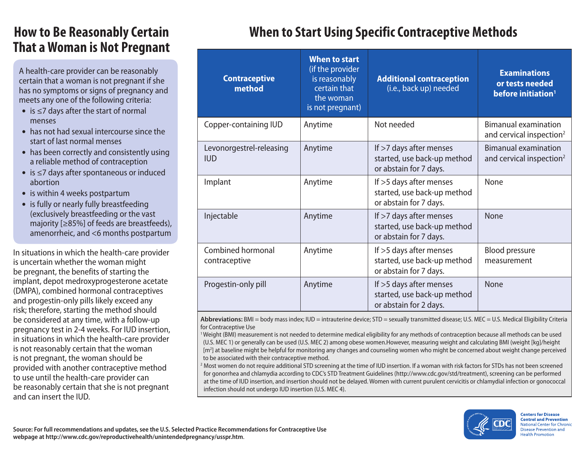## **How to Be Reasonably Certain That a Woman is Not Pregnant**

A health-care provider can be reasonably certain that a woman is not pregnant if she has no symptoms or signs of pregnancy and meets any one of the following criteria:

- is ≤7 days after the start of normal menses
- has not had sexual intercourse since the start of last normal menses
- has been correctly and consistently using a reliable method of contraception
- is ≤7 days after spontaneous or induced abortion
- is within 4 weeks postpartum
- is fully or nearly fully breastfeeding (exclusively breastfeeding or the vast majority [≥85%] of feeds are breastfeeds), amenorrheic, and <6 months postpartum

In situations in which the health-care provider is uncertain whether the woman might be pregnant, the benefits of starting the implant, depot medroxyprogesterone acetate (DMPA), combined hormonal contraceptives and progestin-only pills likely exceed any risk; therefore, starting the method should be considered at any time, with a follow-up pregnancy test in 2-4 weeks. For IUD insertion, in situations in which the health-care provider is not reasonably certain that the woman is not pregnant, the woman should be provided with another contraceptive method to use until the health-care provider can be reasonably certain that she is not pregnant and can insert the IUD.

## **When to Start Using Specific Contraceptive Methods**

| <b>Contraceptive</b><br>method         | <b>When to start</b><br>(if the provider<br>is reasonably<br>certain that<br>the woman<br>is not pregnant) | <b>Additional contraception</b><br>(i.e., back up) needed                        | <b>Examinations</b><br>or tests needed<br>before initiation <sup>1</sup> |
|----------------------------------------|------------------------------------------------------------------------------------------------------------|----------------------------------------------------------------------------------|--------------------------------------------------------------------------|
| Copper-containing IUD                  | Anytime                                                                                                    | Not needed                                                                       | <b>Bimanual examination</b><br>and cervical inspection <sup>2</sup>      |
| Levonorgestrel-releasing<br><b>IUD</b> | Anytime                                                                                                    | If >7 days after menses<br>started, use back-up method<br>or abstain for 7 days. | <b>Bimanual examination</b><br>and cervical inspection <sup>2</sup>      |
| Implant                                | Anytime                                                                                                    | If >5 days after menses<br>started, use back-up method<br>or abstain for 7 days. | None                                                                     |
| Injectable                             | Anytime                                                                                                    | If >7 days after menses<br>started, use back-up method<br>or abstain for 7 days. | <b>None</b>                                                              |
| Combined hormonal<br>contraceptive     | Anytime                                                                                                    | If >5 days after menses<br>started, use back-up method<br>or abstain for 7 days. | <b>Blood pressure</b><br>measurement                                     |
| Progestin-only pill                    | Anytime                                                                                                    | If >5 days after menses<br>started, use back-up method<br>or abstain for 2 days. | <b>None</b>                                                              |

**Abbreviations:** BMI = body mass index; IUD = intrauterine device; STD = sexually transmitted disease; U.S. MEC = U.S. Medical Eligibility Criteria for Contraceptive Use

1 Weight (BMI) measurement is not needed to determine medical eligibility for any methods of contraception because all methods can be used (U.S. MEC 1) or generally can be used (U.S. MEC 2) among obese women.However, measuring weight and calculating BMI (weight [kg]/height [m2 ] at baseline might be helpful for monitoring any changes and counseling women who might be concerned about weight change perceived to be associated with their contraceptive method.

<sup>2</sup> Most women do not require additional STD screening at the time of IUD insertion. If a woman with risk factors for STDs has not been screened for gonorrhea and chlamydia according to CDC's STD Treatment Guidelines [\(http://www.cdc.gov/std/treatment\), scr](http://www.cdc.gov/std/treatment)eening can be performed at the time of IUD insertion, and insertion should not be delayed. Women with current purulent cervicitis or chlamydial infection or gonococcal infection should not undergo IUD insertion (U.S. MEC 4).